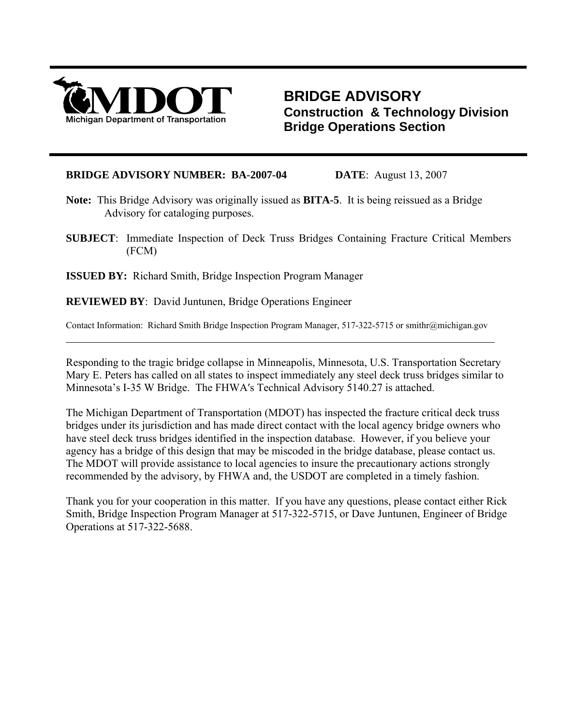

 $\overline{a}$ 

## **BRIDGE ADVISORY Construction & Technology Division Bridge Operations Section**

### **BRIDGE ADVISORY NUMBER: BA-2007-04 DATE**:August 13, 2007

- **Note:** This Bridge Advisory was originally issued as **BITA-5**. It is being reissued as a Bridge Advisory for cataloging purposes.
- **SUBJECT**: Immediate Inspection of Deck Truss Bridges Containing Fracture Critical Members (FCM)

**ISSUED BY:** Richard Smith, Bridge Inspection Program Manager

**REVIEWED BY**: David Juntunen, Bridge Operations Engineer

Contact Information: Richard Smith Bridge Inspection Program Manager, 517-322-5715 or smithr@michigan.gov

Responding to the tragic bridge collapse in Minneapolis, Minnesota, U.S. Transportation Secretary Mary E. Peters has called on all states to inspect immediately any steel deck truss bridges similar to Minnesota's I-35 W Bridge. The FHWA′s Technical Advisory 5140.27 is attached.

The Michigan Department of Transportation (MDOT) has inspected the fracture critical deck truss bridges under its jurisdiction and has made direct contact with the local agency bridge owners who have steel deck truss bridges identified in the inspection database. However, if you believe your agency has a bridge of this design that may be miscoded in the bridge database, please contact us. The MDOT will provide assistance to local agencies to insure the precautionary actions strongly recommended by the advisory, by FHWA and, the USDOT are completed in a timely fashion.

Thank you for your cooperation in this matter. If you have any questions, please contact either Rick Smith, Bridge Inspection Program Manager at 517-322-5715, or Dave Juntunen, Engineer of Bridge Operations at 517-322-5688.